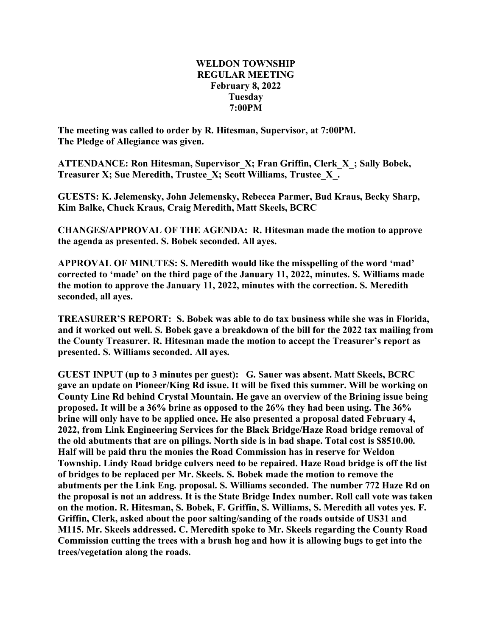## **WELDON TOWNSHIP REGULAR MEETING February 8, 2022 Tuesday 7:00PM**

**The meeting was called to order by R. Hitesman, Supervisor, at 7:00PM. The Pledge of Allegiance was given.**

**ATTENDANCE: Ron Hitesman, Supervisor\_X; Fran Griffin, Clerk\_X\_; Sally Bobek, Treasurer X; Sue Meredith, Trustee\_X; Scott Williams, Trustee\_X\_.**

**GUESTS: K. Jelemensky, John Jelemensky, Rebecca Parmer, Bud Kraus, Becky Sharp, Kim Balke, Chuck Kraus, Craig Meredith, Matt Skeels, BCRC**

**CHANGES/APPROVAL OF THE AGENDA: R. Hitesman made the motion to approve the agenda as presented. S. Bobek seconded. All ayes.**

**APPROVAL OF MINUTES: S. Meredith would like the misspelling of the word 'mad' corrected to 'made' on the third page of the January 11, 2022, minutes. S. Williams made the motion to approve the January 11, 2022, minutes with the correction. S. Meredith seconded, all ayes.**

**TREASURER'S REPORT: S. Bobek was able to do tax business while she was in Florida, and it worked out well. S. Bobek gave a breakdown of the bill for the 2022 tax mailing from the County Treasurer. R. Hitesman made the motion to accept the Treasurer's report as presented. S. Williams seconded. All ayes.**

**GUEST INPUT (up to 3 minutes per guest): G. Sauer was absent. Matt Skeels, BCRC gave an update on Pioneer/King Rd issue. It will be fixed this summer. Will be working on County Line Rd behind Crystal Mountain. He gave an overview of the Brining issue being proposed. It will be a 36% brine as opposed to the 26% they had been using. The 36% brine will only have to be applied once. He also presented a proposal dated February 4, 2022, from Link Engineering Services for the Black Bridge/Haze Road bridge removal of the old abutments that are on pilings. North side is in bad shape. Total cost is \$8510.00. Half will be paid thru the monies the Road Commission has in reserve for Weldon Township. Lindy Road bridge culvers need to be repaired. Haze Road bridge is off the list of bridges to be replaced per Mr. Skeels. S. Bobek made the motion to remove the abutments per the Link Eng. proposal. S. Williams seconded. The number 772 Haze Rd on the proposal is not an address. It is the State Bridge Index number. Roll call vote was taken on the motion. R. Hitesman, S. Bobek, F. Griffin, S. Williams, S. Meredith all votes yes. F. Griffin, Clerk, asked about the poor salting/sanding of the roads outside of US31 and M115. Mr. Skeels addressed. C. Meredith spoke to Mr. Skeels regarding the County Road Commission cutting the trees with a brush hog and how it is allowing bugs to get into the trees/vegetation along the roads.**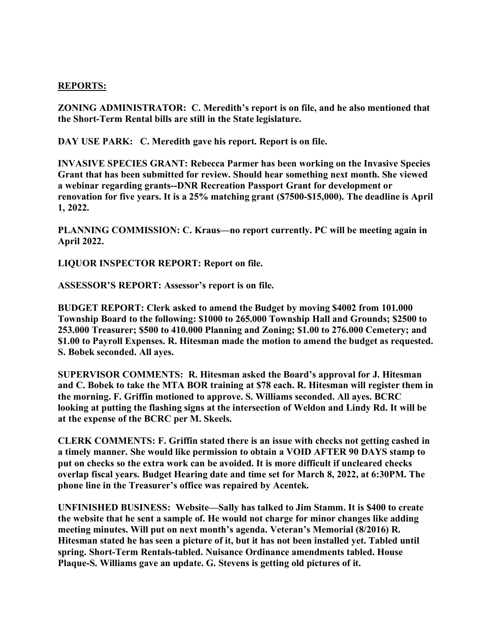## **REPORTS:**

**ZONING ADMINISTRATOR: C. Meredith's report is on file, and he also mentioned that the Short-Term Rental bills are still in the State legislature.**

**DAY USE PARK: C. Meredith gave his report. Report is on file.**

**INVASIVE SPECIES GRANT: Rebecca Parmer has been working on the Invasive Species Grant that has been submitted for review. Should hear something next month. She viewed a webinar regarding grants--DNR Recreation Passport Grant for development or renovation for five years. It is a 25% matching grant (\$7500-\$15,000). The deadline is April 1, 2022.**

**PLANNING COMMISSION: C. Kraus—no report currently. PC will be meeting again in April 2022.**

**LIQUOR INSPECTOR REPORT: Report on file.**

**ASSESSOR'S REPORT: Assessor's report is on file.**

**BUDGET REPORT: Clerk asked to amend the Budget by moving \$4002 from 101.000 Township Board to the following: \$1000 to 265.000 Township Hall and Grounds; \$2500 to 253.000 Treasurer; \$500 to 410.000 Planning and Zoning; \$1.00 to 276.000 Cemetery; and \$1.00 to Payroll Expenses. R. Hitesman made the motion to amend the budget as requested. S. Bobek seconded. All ayes.**

**SUPERVISOR COMMENTS: R. Hitesman asked the Board's approval for J. Hitesman and C. Bobek to take the MTA BOR training at \$78 each. R. Hitesman will register them in the morning. F. Griffin motioned to approve. S. Williams seconded. All ayes. BCRC looking at putting the flashing signs at the intersection of Weldon and Lindy Rd. It will be at the expense of the BCRC per M. Skeels.**

**CLERK COMMENTS: F. Griffin stated there is an issue with checks not getting cashed in a timely manner. She would like permission to obtain a VOID AFTER 90 DAYS stamp to put on checks so the extra work can be avoided. It is more difficult if uncleared checks overlap fiscal years. Budget Hearing date and time set for March 8, 2022, at 6:30PM. The phone line in the Treasurer's office was repaired by Acentek.**

**UNFINISHED BUSINESS: Website—Sally has talked to Jim Stamm. It is \$400 to create the website that he sent a sample of. He would not charge for minor changes like adding meeting minutes. Will put on next month's agenda. Veteran's Memorial (8/2016) R. Hitesman stated he has seen a picture of it, but it has not been installed yet. Tabled until spring. Short-Term Rentals-tabled. Nuisance Ordinance amendments tabled. House Plaque-S. Williams gave an update. G. Stevens is getting old pictures of it.**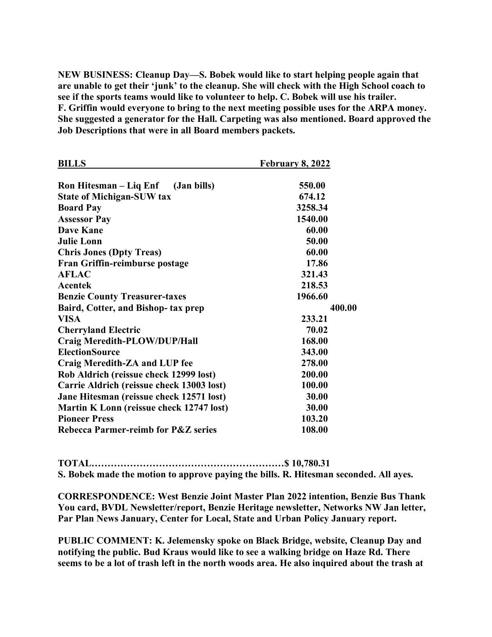**NEW BUSINESS: Cleanup Day—S. Bobek would like to start helping people again that are unable to get their 'junk' to the cleanup. She will check with the High School coach to see if the sports teams would like to volunteer to help. C. Bobek will use his trailer. F. Griffin would everyone to bring to the next meeting possible uses for the ARPA money. She suggested a generator for the Hall. Carpeting was also mentioned. Board approved the Job Descriptions that were in all Board members packets.**

| <b>BILLS</b>                                   | <b>February 8, 2022</b> |
|------------------------------------------------|-------------------------|
| Ron Hitesman – Liq Enf (Jan bills)             | 550.00                  |
| <b>State of Michigan-SUW tax</b>               | 674.12                  |
| <b>Board Pay</b>                               | 3258.34                 |
| <b>Assessor Pay</b>                            | 1540.00                 |
| <b>Dave Kane</b>                               | 60.00                   |
| <b>Julie Lonn</b>                              | 50.00                   |
| <b>Chris Jones (Dpty Treas)</b>                | 60.00                   |
| Fran Griffin-reimburse postage                 | 17.86                   |
| <b>AFLAC</b>                                   | 321.43                  |
| Acentek                                        | 218.53                  |
| <b>Benzie County Treasurer-taxes</b>           | 1966.60                 |
| Baird, Cotter, and Bishop- tax prep            | 400.00                  |
| <b>VISA</b>                                    | 233.21                  |
| <b>Cherryland Electric</b>                     | 70.02                   |
| Craig Meredith-PLOW/DUP/Hall                   | 168.00                  |
| <b>ElectionSource</b>                          | 343.00                  |
| Craig Meredith-ZA and LUP fee                  | 278.00                  |
| Rob Aldrich (reissue check 12999 lost)         | 200.00                  |
| Carrie Aldrich (reissue check 13003 lost)      | 100.00                  |
| Jane Hitesman (reissue check 12571 lost)       | 30.00                   |
| Martin K Lonn (reissue check 12747 lost)       | 30.00                   |
| <b>Pioneer Press</b>                           | 103.20                  |
| <b>Rebecca Parmer-reimb for P&amp;Z series</b> | 108.00                  |

**TOTAL……………………………………………………\$ 10,780.31 S. Bobek made the motion to approve paying the bills. R. Hitesman seconded. All ayes.**

**CORRESPONDENCE: West Benzie Joint Master Plan 2022 intention, Benzie Bus Thank You card, BVDL Newsletter/report, Benzie Heritage newsletter, Networks NW Jan letter, Par Plan News January, Center for Local, State and Urban Policy January report.**

**PUBLIC COMMENT: K. Jelemensky spoke on Black Bridge, website, Cleanup Day and notifying the public. Bud Kraus would like to see a walking bridge on Haze Rd. There seems to be a lot of trash left in the north woods area. He also inquired about the trash at**